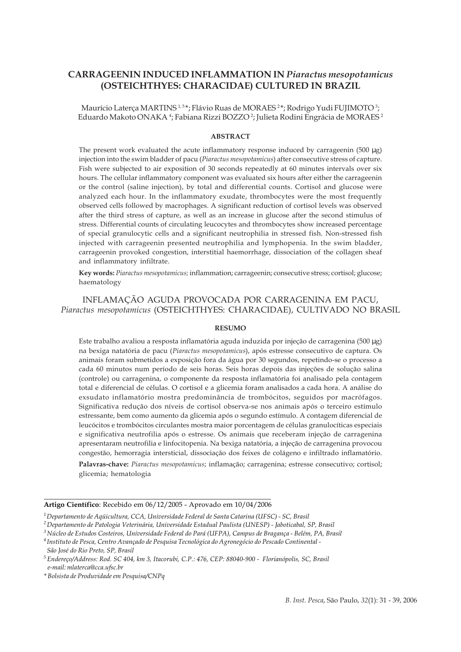# **CARRAGEENIN INDUCED INFLAMMATION IN** *Piaractus mesopotamicus* **(OSTEICHTHYES: CHARACIDAE) CULTURED IN BRAZIL**

Maurício Laterça MARTINS 1,5\*; Flávio Ruas de MORAES 2\*; Rodrigo Yudi FUJIMOTO 3; Eduardo Makoto ONAKA <sup>4</sup>; Fabiana Rizzi BOZZO <sup>2</sup>; Julieta Rodini Engrácia de MORAES <del>'</del>

#### **ABSTRACT**

The present work evaluated the acute inflammatory response induced by carrageenin (500 µg) injection into the swim bladder of pacu (*Piaractus mesopotamicus*) after consecutive stress of capture. Fish were subjected to air exposition of 30 seconds repeatedly at 60 minutes intervals over six hours. The cellular inflammatory component was evaluated six hours after either the carrageenin or the control (saline injection), by total and differential counts. Cortisol and glucose were analyzed each hour. In the inflammatory exudate, thrombocytes were the most frequently observed cells followed by macrophages. A significant reduction of cortisol levels was observed after the third stress of capture, as well as an increase in glucose after the second stimulus of stress. Differential counts of circulating leucocytes and thrombocytes show increased percentage of special granulocytic cells and a significant neutrophilia in stressed fish. Non-stressed fish injected with carrageenin presented neutrophilia and lymphopenia. In the swim bladder, carrageenin provoked congestion, interstitial haemorrhage, dissociation of the collagen sheaf and inflammatory infiltrate.

**Key words:** *Piaractus mesopotamicus;* inflammation; carrageenin; consecutive stress; cortisol; glucose; haematology

INFLAMAÇÃO AGUDA PROVOCADA POR CARRAGENINA EM PACU, *Piaractus mesopotamicus* (OSTEICHTHYES: CHARACIDAE), CULTIVADO NO BRASIL

#### **RESUMO**

Este trabalho avaliou a resposta inflamatória aguda induzida por injeção de carragenina (500 µg) na bexiga natatória de pacu (*Piaractus mesopotamicus*), após estresse consecutivo de captura. Os animais foram submetidos a exposição fora da água por 30 segundos, repetindo-se o processo a cada 60 minutos num período de seis horas. Seis horas depois das injeções de solução salina (controle) ou carragenina, o componente da resposta inflamatória foi analisado pela contagem total e diferencial de células. O cortisol e a glicemia foram analisados a cada hora. A análise do exsudato inflamatório mostra predominância de trombócitos, seguidos por macrófagos. Significativa redução dos níveis de cortisol observa-se nos animais após o terceiro estímulo estressante, bem como aumento da glicemia após o segundo estímulo. A contagem diferencial de leucócitos e trombócitos circulantes mostra maior porcentagem de células granulocíticas especiais e significativa neutrofilia após o estresse. Os animais que receberam injeção de carragenina apresentaram neutrofilia e linfocitopenia. Na bexiga natatória, a injeção de carragenina provocou congestão, hemorragia intersticial, dissociação dos feixes de colágeno e infiltrado inflamatório.

**Palavras-chave:** *Piaractus mesopotamicus*; inflamação; carragenina; estresse consecutivo; cortisol; glicemia; hematologia

#### **Artigo Científico**: Recebido em 06/12/2005 - Aprovado em 10/04/2006

*3Núcleo de Estudos Costeiros, Universidade Federal do Pará (UFPA), Campus de Bragança - Belém, PA, Brasil*

*<sup>4</sup> Instituto de Pesca, Centro Avançado de Pesquisa Tecnológica do Agronegócio do Pescado Continental - São José do Rio Preto, SP, Brasil*

*\* Bolsista de Produvidade em Pesquisa/CNPq*

*<sup>1</sup>Departamento de Aqüicultura, CCA, Universidade Federal de Santa Catarina (UFSC) - SC, Brasil*

*<sup>2</sup>Departamento de Patologia Veterinária, Universidade Estadual Paulista (UNESP) - Jaboticabal, SP, Brasil*

*<sup>5</sup> Endereço/Address: Rod. SC 404, km 3, Itacorubi, C.P.: 476, CEP: 88040-900 - Florianópolis, SC, Brasil e-mail: mlaterca@cca.ufsc.br*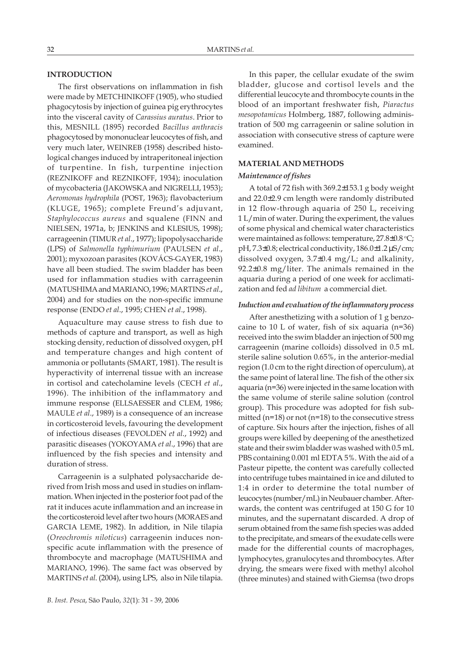# **INTRODUCTION**

The first observations on inflammation in fish were made by METCHINIKOFF (1905), who studied phagocytosis by injection of guinea pig erythrocytes into the visceral cavity of *Carassius auratus*. Prior to this, MESNILL (1895) recorded *Bacillus anthracis* phagocytosed by mononuclear leucocytes of fish, and very much later, WEINREB (1958) described histological changes induced by intraperitoneal injection of turpentine. In fish, turpentine injection (REZNIKOFF and REZNIKOFF, 1934); inoculation of mycobacteria (JAKOWSKA and NIGRELLI, 1953); *Aeromonas hydrophila* (POST, 1963); flavobacterium (KLUGE, 1965); complete Freund's adjuvant, *Staphylococcus aureus* and squalene (FINN and NIELSEN, 1971a, b; JENKINS and KLESIUS, 1998); carrageenin (TIMUR *et al*., 1977); lipopolysaccharide (LPS) of *Salmonella typhimurium* (PAULSEN *et al*., 2001); myxozoan parasites (KOVÁCS-GAYER, 1983) have all been studied. The swim bladder has been used for inflammation studies with carrageenin (MATUSHIMA and MARIANO, 1996; MARTINS *et al*., 2004) and for studies on the non-specific immune response (ENDO *et al*., 1995; CHEN *et al*., 1998).

Aquaculture may cause stress to fish due to methods of capture and transport, as well as high stocking density, reduction of dissolved oxygen, pH and temperature changes and high content of ammonia or pollutants (SMART, 1981). The result is hyperactivity of interrenal tissue with an increase in cortisol and catecholamine levels (CECH *et al*., 1996). The inhibition of the inflammatory and immune response (ELLSAESSER and CLEM, 1986; MAULE *et al*., 1989) is a consequence of an increase in corticosteroid levels, favouring the development of infectious diseases (FEVOLDEN *et al*., 1992) and parasitic diseases (YOKOYAMA *et al*., 1996) that are influenced by the fish species and intensity and duration of stress.

Carrageenin is a sulphated polysaccharide derived from Irish moss and used in studies on inflammation. When injected in the posterior foot pad of the rat it induces acute inflammation and an increase in the corticosteroid level after two hours (MORAES and GARCIA LEME, 1982). In addition, in Nile tilapia (*Oreochromis niloticus*) carrageenin induces nonspecific acute inflammation with the presence of thrombocyte and macrophage (MATUSHIMA and MARIANO, 1996). The same fact was observed by MARTINS *et al*. (2004), using LPS, also in Nile tilapia.

In this paper, the cellular exudate of the swim bladder, glucose and cortisol levels and the differential leucocyte and thrombocyte counts in the blood of an important freshwater fish, *Piaractus mesopotamicus* Holmberg, 1887, following administration of 500 mg carrageenin or saline solution in association with consecutive stress of capture were examined.

### **MATERIAL AND METHODS**

#### *Maintenance of fishes*

A total of 72 fish with 369.2±153.1 g body weight and 22.0±2.9 cm length were randomly distributed in 12 flow-through aquaria of 250 L, receiving 1 L/min of water. During the experiment, the values of some physical and chemical water characteristics were maintained as follows: temperature, 27.8±0.8 °C; pH, 7.3±0.8; electrical conductivity, 186.0±1.2 µS/cm; dissolved oxygen, 3.7±0.4 mg/L; and alkalinity, 92.2±0.8 mg/liter. The animals remained in the aquaria during a period of one week for acclimatization and fed *ad libitum* a commercial diet.

# *Induction and evaluation of the inflammatory process*

After anesthetizing with a solution of 1 g benzocaine to 10 L of water, fish of six aquaria (n=36) received into the swim bladder an injection of 500 mg carrageenin (marine colloids) dissolved in 0.5 mL sterile saline solution 0.65%, in the anterior-medial region (1.0 cm to the right direction of operculum), at the same point of lateral line. The fish of the other six aquaria (n=36) were injected in the same location with the same volume of sterile saline solution (control group). This procedure was adopted for fish submitted ( $n=18$ ) or not ( $n=18$ ) to the consecutive stress of capture. Six hours after the injection, fishes of all groups were killed by deepening of the anesthetized state and their swim bladder was washed with 0.5 mL PBS containing 0.001 ml EDTA 5%. With the aid of a Pasteur pipette, the content was carefully collected into centrifuge tubes maintained in ice and diluted to 1:4 in order to determine the total number of leucocytes (number/mL) in Neubauer chamber. Afterwards, the content was centrifuged at 150 G for 10 minutes, and the supernatant discarded. A drop of serum obtained from the same fish species was added to the precipitate, and smears of the exudate cells were made for the differential counts of macrophages, lymphocytes, granulocytes and thrombocytes. After drying, the smears were fixed with methyl alcohol (three minutes) and stained with Giemsa (two drops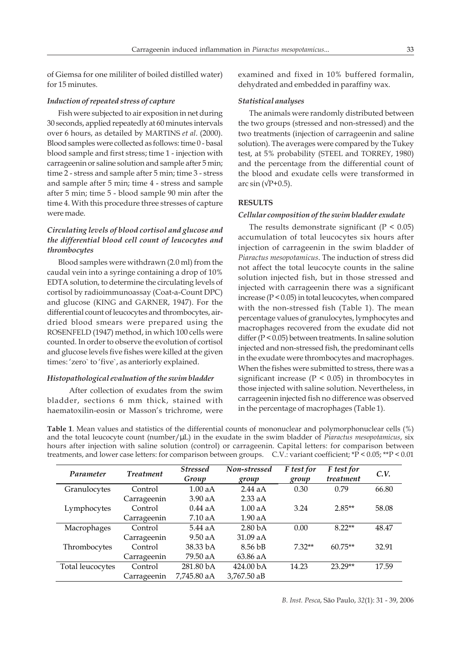of Giemsa for one mililiter of boiled distilled water) for 15 minutes.

#### *Induction of repeated stress of capture*

Fish were subjected to air exposition in net during 30 seconds, applied repeatedly at 60 minutes intervals over 6 hours, as detailed by MARTINS *et al*. (2000). Blood samples were collected as follows: time 0 - basal blood sample and first stress; time 1 - injection with carrageenin or saline solution and sample after 5 min; time 2 - stress and sample after 5 min; time 3 - stress and sample after 5 min; time 4 - stress and sample after 5 min; time 5 - blood sample 90 min after the time 4. With this procedure three stresses of capture were made.

# *Circulating levels of blood cortisol and glucose and the differential blood cell count of leucocytes and thrombocytes*

Blood samples were withdrawn (2.0 ml) from the caudal vein into a syringe containing a drop of 10% EDTA solution, to determine the circulating levels of cortisol by radioimmunoassay (Coat-a-Count DPC) and glucose (KING and GARNER, 1947). For the differential count of leucocytes and thrombocytes, airdried blood smears were prepared using the ROSENFELD (1947) method, in which 100 cells were counted. In order to observe the evolution of cortisol and glucose levels five fishes were killed at the given times: 'zero` to 'five`, as anteriorly explained.

### *Histopathological evaluation of the swim bladder*

After collection of exudates from the swim bladder, sections 6 mm thick, stained with haematoxilin-eosin or Masson's trichrome, were

examined and fixed in 10% buffered formalin, dehydrated and embedded in paraffiny wax.

#### *Statistical analyses*

The animals were randomly distributed between the two groups (stressed and non-stressed) and the two treatments (injection of carrageenin and saline solution). The averages were compared by the Tukey test, at 5% probability (STEEL and TORREY, 1980) and the percentage from the differential count of the blood and exudate cells were transformed in arc sin  $(\sqrt{P+0.5})$ .

# **RESULTS**

# *Cellular composition of the swim bladder exudate*

The results demonstrate significant  $(P < 0.05)$ accumulation of total leucocytes six hours after injection of carrageenin in the swim bladder of *Piaractus mesopotamicus*. The induction of stress did not affect the total leucocyte counts in the saline solution injected fish, but in those stressed and injected with carrageenin there was a significant increase (P < 0.05) in total leucocytes, when compared with the non-stressed fish (Table 1). The mean percentage values of granulocytes, lymphocytes and macrophages recovered from the exudate did not differ (P < 0.05) between treatments. In saline solution injected and non-stressed fish, the predominant cells in the exudate were thrombocytes and macrophages. When the fishes were submitted to stress, there was a significant increase ( $P < 0.05$ ) in thrombocytes in those injected with saline solution. Nevertheless, in carrageenin injected fish no difference was observed in the percentage of macrophages (Table 1).

**Table 1**. Mean values and statistics of the differential counts of mononuclear and polymorphonuclear cells (%) and the total leucocyte count (number/µL) in the exudate in the swim bladder of *Piaractus mesopotamicus*, six hours after injection with saline solution (control) or carrageenin. Capital letters: for comparison between treatments, and lower case letters: for comparison between groups. C.V.: variant coefficient; \*P < 0.05; \*\*P < 0.01

| Parameter        | <b>Treatment</b> | <b>Stressed</b><br>Group | Non-stressed<br>group | F test for<br>group | F test for<br>treatment | C.V.  |
|------------------|------------------|--------------------------|-----------------------|---------------------|-------------------------|-------|
| Granulocytes     | Control          | 1.00aA                   | 2.44aA                | 0.30                | 0.79                    | 66.80 |
|                  | Carrageenin      | 3.90 aA                  | $2.33$ aA             |                     |                         |       |
| Lymphocytes      | Control          | $0.44$ aA                | 1.00aA                | 3.24                | $2.85**$                | 58.08 |
|                  | Carrageenin      | $7.10\text{ aA}$         | 1.90 aA               |                     |                         |       |
| Macrophages      | Control          | 5.44aA                   | 2.80 <sub>bA</sub>    | 0.00                | $8.22**$                | 48.47 |
|                  | Carrageenin      | 9.50 aA                  | 31.09aA               |                     |                         |       |
| Thrombocytes     | Control          | 38.33 bA                 | 8.56 <sub>bB</sub>    | $7.32**$            | $60.75**$               | 32.91 |
|                  | Carrageenin      | 79.50 aA                 | 63.86 aA              |                     |                         |       |
| Total leucocytes | Control          | 281.80 bA                | 424.00 bA             | 14.23               | 23.29**                 | 17.59 |
|                  | Carrageenin      | 7,745.80 aA              | $3,767.50$ aB         |                     |                         |       |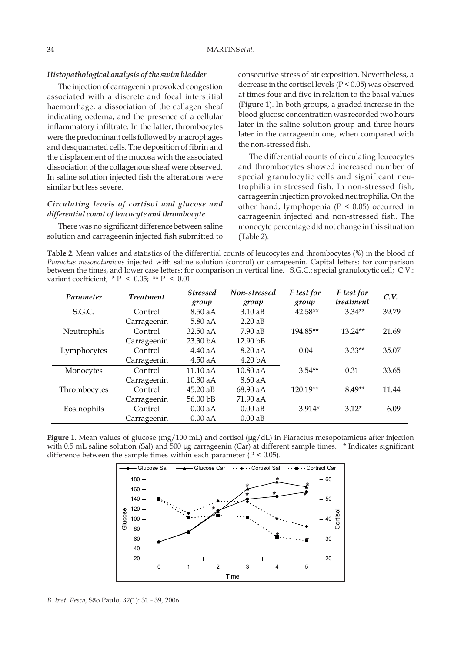# *Histopathological analysis of the swim bladder*

The injection of carrageenin provoked congestion associated with a discrete and focal interstitial haemorrhage, a dissociation of the collagen sheaf indicating oedema, and the presence of a cellular inflammatory infiltrate. In the latter, thrombocytes were the predominant cells followed by macrophages and desquamated cells. The deposition of fibrin and the displacement of the mucosa with the associated dissociation of the collagenous sheaf were observed. In saline solution injected fish the alterations were similar but less severe.

# *Circulating levels of cortisol and glucose and differential count of leucocyte and thrombocyte*

There was no significant difference between saline solution and carrageenin injected fish submitted to consecutive stress of air exposition. Nevertheless, a decrease in the cortisol levels (P < 0.05) was observed at times four and five in relation to the basal values (Figure 1). In both groups, a graded increase in the blood glucose concentration was recorded two hours later in the saline solution group and three hours later in the carrageenin one, when compared with the non-stressed fish.

The differential counts of circulating leucocytes and thrombocytes showed increased number of special granulocytic cells and significant neutrophilia in stressed fish. In non-stressed fish, carrageenin injection provoked neutrophilia. On the other hand, lymphopenia ( $P < 0.05$ ) occurred in carrageenin injected and non-stressed fish. The monocyte percentage did not change in this situation (Table 2).

**Table 2.** Mean values and statistics of the differential counts of leucocytes and thrombocytes (%) in the blood of *Piaractus mesopotamicus* injected with saline solution (control) or carrageenin. Capital letters: for comparison between the times, and lower case letters: for comparison in vertical line. S.G.C.: special granulocytic cell; C.V.: variant coefficient;  $* P < 0.05$ ;  $* P < 0.01$ 

| Parameter    | <b>Treatment</b> | <b>Stressed</b><br>group | Non-stressed<br>group | F test for<br>group | F test for<br>treatment | C.V.  |
|--------------|------------------|--------------------------|-----------------------|---------------------|-------------------------|-------|
| S.G.C.       | Control          | $8.50$ aA                | $3.10$ aB             | $42.58**$           | $3.34**$                | 39.79 |
|              | Carrageenin      | $5.80$ aA                | $2.20$ aB             |                     |                         |       |
| Neutrophils  | Control          | 32.50 aA                 | 7.90aB                | 194.85**            | $13.24**$               | 21.69 |
|              | Carrageenin      | 23.30 <sub>bA</sub>      | $12.90$ bB            |                     |                         |       |
| Lymphocytes  | Control          | 4.40aA                   | 8.20aA                | 0.04                | $3.33**$                | 35.07 |
|              | Carrageenin      | $4.50$ aA                | 4.20 <sub>bA</sub>    |                     |                         |       |
| Monocytes    | Control          | 11.10aA                  | 10.80aA               | $3.54**$            | 0.31                    | 33.65 |
|              | Carrageenin      | $10.80$ aA               | 8.60aA                |                     |                         |       |
| Thrombocytes | Control          | $45.20 \text{ a}B$       | 68.90 aA              | 120.19**            | $8.49**$                | 11.44 |
|              | Carrageenin      | 56.00 bB                 | 71.90 aA              |                     |                         |       |
| Eosinophils  | Control          | 0.00 aA                  | 0.00aB                | $3.914*$            | $3.12*$                 | 6.09  |
|              | Carrageenin      | 0.00 aA                  | 0.00aB                |                     |                         |       |

**Figure 1.** Mean values of glucose (mg/100 mL) and cortisol (µg/dL) in Piaractus mesopotamicus after injection with 0.5 mL saline solution (Sal) and 500 µg carrageenin (Car) at different sample times. \* Indicates significant difference between the sample times within each parameter  $(P < 0.05)$ .

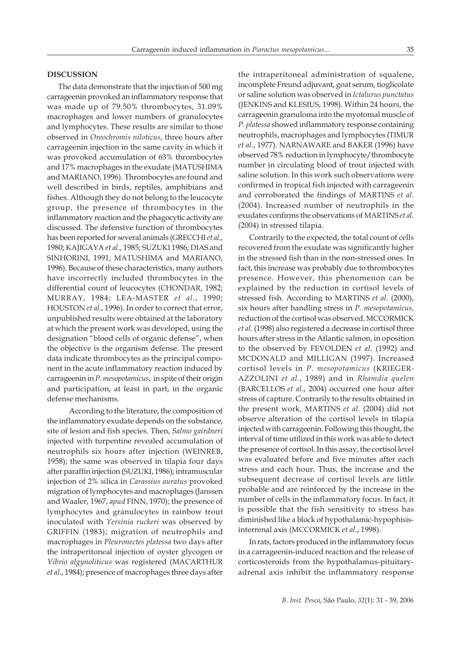# **DISCUSSION**

The data demonstrate that the injection of 500 mg carrageenin provoked an inflammatory response that was made up of 79.50% thrombocytes, 31.09% macrophages and lower numbers of granulocytes and lymphocytes. These results are similar to those observed in *Oreochromis niloticus*, three hours after carrageenin injection in the same cavity in which it was provoked accumulation of 63% thrombocytes and 17% macrophages in the exudate (MATUSHIMA and MARIANO, 1996). Thrombocytes are found and well described in birds, reptiles, amphibians and fishes. Although they do not belong to the leucocyte group, the presence of thrombocytes in the inflammatory reaction and the phagocytic activity are discussed. The defensive function of thrombocytes has been reported for several animals (GRECCHI *et al*., 1980; KAJIGAYA *et al*., 1985; SUZUKI 1986; DIAS and SINHORINI, 1991; MATUSHIMA and MARIANO, 1996). Because of these characteristics, many authors have incorrectly included thrombocytes in the differential count of leucocytes (CHONDAR, 1982; MURRAY, 1984; LEA-MASTER *et al*., 1990; HOUSTON *et al*., 1996). In order to correct that error, unpublished results were obtained at the laboratory at which the present work was developed, using the designation "blood cells of organic defense", when the objective is the organism defense. The present data indicate thrombocytes as the principal component in the acute inflammatory reaction induced by carrageenin in *P. mesopotamicus*, in spite of their origin and participation, at least in part, in the organic defense mechanisms.

According to the literature, the composition of the inflammatory exudate depends on the substance, site of lesion and fish species. Then, *Salmo gairdneri* injected with turpentine revealed accumulation of neutrophils six hours after injection (WEINREB, 1958); the same was observed in tilapia four days after paraffin injection (SUZUKI, 1986); intramuscular injection of 2% silica in *Carassius auratus* provoked migration of lymphocytes and macrophages (Janssen and Waaler, 1967, *apud* FINN, 1970); the presence of lymphocytes and granulocytes in rainbow trout inoculated with *Yersinia ruckeri* was observed by GRIFFIN (1983); migration of neutrophils and macrophages in *Pleuronectes platessa* two days after the intraperitoneal injection of oyster glycogen or *Vibrio algynoliticus* was registered (MACARTHUR *et al*., 1984); presence of macrophages three days after

the intraperitoneal administration of squalene, incomplete Freund adjuvant, goat serum, tioglicolate or saline solution was observed in *Ictalurus punctatus* (JENKINS and KLESIUS, 1998). Within 24 hours, the carrageenin granuloma into the myotomal muscle of *P. platessa* showed inflammatory response containing neutrophils, macrophages and lymphocytes (TIMUR *et al*., 1977). NARNAWARE and BAKER (1996) have observed 78% reduction in lymphocyte/thrombocyte number in circulating blood of trout injected with saline solution. In this work such observations were confirmed in tropical fish injected with carrageenin and corroborated the findings of MARTINS *et al*. (2004). Increased number of neutrophils in the exudates confirms the observations of MARTINS *et al*. (2004) in stressed tilapia.

Contrarily to the expected, the total count of cells recovered from the exudate was significantly higher in the stressed fish than in the non-stressed ones. In fact, this increase was probably due to thrombocytes presence. However, this phenomenon can be explained by the reduction in cortisol levels of stressed fish. According to MARTINS *et al*. (2000), six hours after handling stress in *P. mesopotamicus*, reduction of the cortisol was observed. MCCORMICK *et al*. (1998) also registered a decrease in cortisol three hours after stress in the Atlantic salmon, in oposition to the observed by FEVOLDEN *et al*. (1992) and MCDONALD and MILLIGAN (1997). Increased cortisol levels in *P. mesopotamicus* (KRIEGER-AZZOLINI *et al*., 1989) and in *Rhamdia quelen* (BARCELLOS *et al*., 2004) occurred one hour after stress of capture. Contrarily to the results obtained in the present work, MARTINS *et al*. (2004) did not observe alteration of the cortisol levels in tilapia injected with carrageenin. Following this thought, the interval of time utilized in this work was able to detect the presence of cortisol. In this assay, the cortisol level was evaluated before and five minutes after each stress and each hour. Thus, the increase and the subsequent decrease of cortisol levels are little probable and are reinforced by the increase in the number of cells in the inflammatory focus. In fact, it is possible that the fish sensitivity to stress has diminished like a block of hypothalamic-hypophisisinterrenal axis (MCCORMICK *et al*., 1998).

In rats, factors produced in the inflammatory focus in a carrageenin-induced reaction and the release of corticosteroids from the hypothalamus-pituitaryadrenal axis inhibit the inflammatory response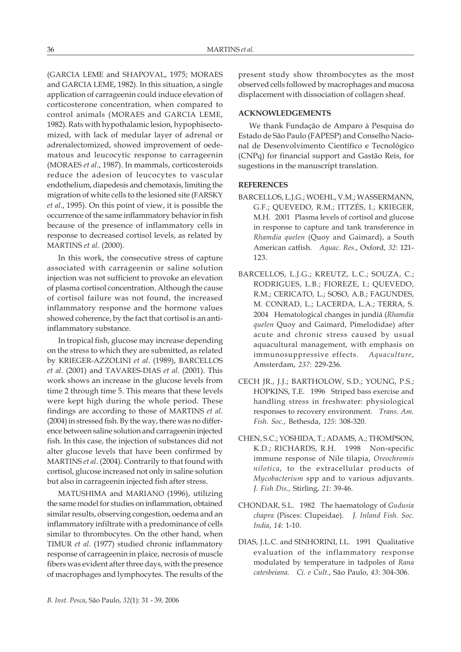(GARCIA LEME and SHAPOVAL, 1975; MORAES and GARCIA LEME, 1982). In this situation, a single application of carrageenin could induce elevation of corticosterone concentration, when compared to control animals (MORAES and GARCIA LEME, 1982). Rats with hypothalamic lesion, hypophisectomized, with lack of medular layer of adrenal or adrenalectomized, showed improvement of oedematous and leucocytic response to carrageenin (MORAES *et al*., 1987). In mammals, corticosteroids reduce the adesion of leucocytes to vascular endothelium, diapedesis and chemotaxis, limiting the migration of white cells to the lesioned site (FARSKY *et al*., 1995). On this point of view, it is possible the occurrence of the same inflammatory behavior in fish because of the presence of inflammatory cells in response to decreased cortisol levels, as related by MARTINS *et al*. (2000).

In this work, the consecutive stress of capture associated with carrageenin or saline solution injection was not sufficient to provoke an elevation of plasma cortisol concentration. Although the cause of cortisol failure was not found, the increased inflammatory response and the hormone values showed coherence, by the fact that cortisol is an antiinflammatory substance.

In tropical fish, glucose may increase depending on the stress to which they are submitted, as related by KRIEGER-AZZOLINI *et al*. (1989), BARCELLOS *et al*. (2001) and TAVARES-DIAS *et al*. (2001). This work shows an increase in the glucose levels from time 2 through time 5. This means that these levels were kept high during the whole period. These findings are according to those of MARTINS *et al*. (2004) in stressed fish. By the way, there was no difference between saline solution and carrageenin injected fish. In this case, the injection of substances did not alter glucose levels that have been confirmed by MARTINS *et al*. (2004). Contrarily to that found with cortisol, glucose increased not only in saline solution but also in carrageenin injected fish after stress.

MATUSHIMA and MARIANO (1996), utilizing the same model for studies on inflammation, obtained similar results, observing congestion, oedema and an inflammatory infiltrate with a predominance of cells similar to thrombocytes. On the other hand, when TIMUR *et al*. (1977) studied chronic inflammatory response of carrageenin in plaice, necrosis of muscle fibers was evident after three days, with the presence of macrophages and lymphocytes. The results of the present study show thrombocytes as the most observed cells followed by macrophages and mucosa displacement with dissociation of collagen sheaf.

# **ACKNOWLEDGEMENTS**

We thank Fundação de Amparo à Pesquisa do Estado de São Paulo (FAPESP) and Conselho Nacional de Desenvolvimento Científico e Tecnológico (CNPq) for financial support and Gastão Reis, for sugestions in the manuscript translation.

# **REFERENCES**

- BARCELLOS, L.J.G.; WOEHL, V.M.; WASSERMANN, G.F.; QUEVEDO, R.M.; ITTZÉS, I.; KRIEGER, M.H. 2001 Plasma levels of cortisol and glucose in response to capture and tank transference in *Rhamdia quelen* (Quoy and Gaimard), a South American catfish. *Aquac. Res.*, Oxford, *32*: 121- 123.
- BARCELLOS, L.J.G.; KREUTZ, L.C.; SOUZA, C.; RODRIGUES, L.B.; FIOREZE, I.; QUEVEDO, R.M.; CERICATO, L.; SOSO, A.B.; FAGUNDES, M. CONRAD, L.; LACERDA, L.A.; TERRA, S. 2004 Hematological changes in jundiá (*Rhamdia quelen* Quoy and Gaimard, Pimelodidae) after acute and chronic stress caused by usual aquacultural management, with emphasis on immunosuppressive effects. *Aquaculture*, Amsterdam, *237*: 229-236.
- CECH JR., J.J.; BARTHOLOW, S.D.; YOUNG, P.S.; HOPKINS, T.E. 1996 Striped bass exercise and handling stress in freshwater: physiological responses to recovery environment. *Trans. Am. Fish. Soc.*, Bethesda, *125*: 308-320.
- CHEN, S.C.; YOSHIDA, T.; ADAMS, A.; THOMPSON, K.D.; RICHARDS, R.H. 1998 Non-specific immune response of Nile tilapia, *Oreochromis nilotica*, to the extracellular products of *Mycobacterium* spp and to various adjuvants. *J. Fish Dis.*, Stirling, *21*: 39-46.
- CHONDAR, S.L. 1982 The haematology of *Gudusia chapra* (Pisces: Clupeidae). *J. Inland Fish. Soc. India*, *14*: 1-10.
- DIAS, J.L.C. and SINHORINI, I.L. 1991 Qualitative evaluation of the inflammatory response modulated by temperature in tadpoles of *Rana catesbeiana. Ci. e Cult.*, São Paulo, *43*: 304-306.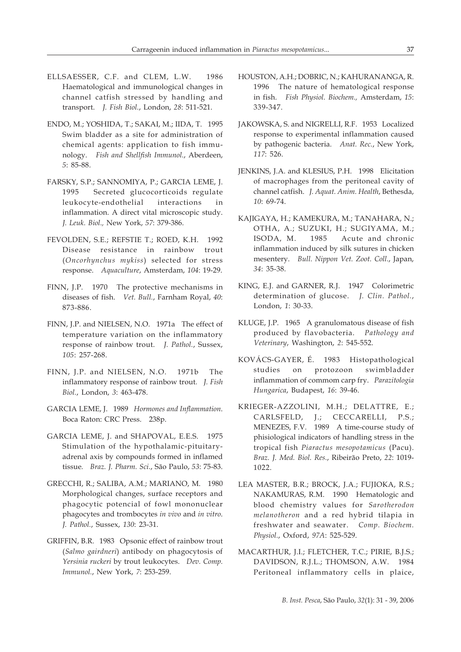- ELLSAESSER, C.F. and CLEM, L.W. 1986 Haematological and immunological changes in channel catfish stressed by handling and transport. *J. Fish Biol.*, London, *28*: 511-521.
- ENDO, M.; YOSHIDA, T.; SAKAI, M.; IIDA, T. 1995 Swim bladder as a site for administration of chemical agents: application to fish immunology. *Fish and Shellfish Immunol.*, Aberdeen, *5*: 85-88.
- FARSKY, S.P.; SANNOMIYA, P.; GARCIA LEME, J. 1995 Secreted glucocorticoids regulate leukocyte-endothelial interactions in inflammation. A direct vital microscopic study. *J. Leuk. Biol.,* New York, *57*: 379-386.
- FEVOLDEN, S.E.; REFSTIE T.; ROED, K.H. 1992 Disease resistance in rainbow trout (*Oncorhynchus mykiss*) selected for stress response. *Aquaculture*, Amsterdam, *104*: 19-29.
- FINN, J.P. 1970 The protective mechanisms in diseases of fish. *Vet. Bull.*, Farnham Royal, *40*: 873-886.
- FINN, J.P. and NIELSEN, N.O. 1971a The effect of temperature variation on the inflammatory response of rainbow trout. *J. Pathol.*, Sussex, *105*: 257-268.
- FINN, J.P. and NIELSEN, N.O. 1971b The inflammatory response of rainbow trout*. J. Fish Biol.*, London, *3*: 463-478.
- GARCIA LEME, J. 1989 *Hormones and Inflammation*. Boca Raton: CRC Press. 238p.
- GARCIA LEME, J. and SHAPOVAL, E.E.S. 1975 Stimulation of the hypothalamic-pituitaryadrenal axis by compounds formed in inflamed tissue*. Braz. J. Pharm. Sci.*, São Paulo, *53*: 75-83.
- GRECCHI, R.; SALIBA, A.M.; MARIANO, M. 1980 Morphological changes, surface receptors and phagocytic potencial of fowl mononuclear phagocytes and trombocytes *in vivo* and *in vitro*. *J. Pathol.*, Sussex, *130*: 23-31.
- GRIFFIN, B.R. 1983 Opsonic effect of rainbow trout (*Salmo gairdneri*) antibody on phagocytosis of *Yersinia ruckeri* by trout leukocytes. *Dev. Comp. Immunol.*, New York, *7*: 253-259.
- HOUSTON, A.H.; DOBRIC, N.; KAHURANANGA, R. 1996 The nature of hematological response in fish. *Fish Physiol. Biochem.,* Amsterdam, *15*: 339-347.
- JAKOWSKA, S. and NIGRELLI, R.F. 1953 Localized response to experimental inflammation caused by pathogenic bacteria. *Anat. Rec.*, New York, *117*: 526.
- JENKINS, J.A. and KLESIUS, P.H. 1998 Elicitation of macrophages from the peritoneal cavity of channel catfish. *J. Aquat. Anim. Health*, Bethesda, *10*: 69-74.
- KAJIGAYA, H.; KAMEKURA, M.; TANAHARA, N.; OTHA, A.; SUZUKI, H.; SUGIYAMA, M.; ISODA, M. 1985 Acute and chronic inflammation induced by silk sutures in chicken mesentery. *Bull. Nippon Vet. Zoot. Coll.*, Japan, *34*: 35-38.
- KING, E.J. and GARNER, R.J. 1947 Colorimetric determination of glucose. *J. Clin. Pathol.*, London, *1*: 30-33.
- KLUGE, J.P. 1965 A granulomatous disease of fish produced by flavobacteria. *Pathology and Veterinary*, Washington, *2*: 545-552.
- KOVÁCS-GAYER, É. 1983 Histopathological studies on protozoon swimbladder inflammation of commom carp fry. *Parazitologia Hungarica*, Budapest, *16*: 39-46.
- KRIEGER-AZZOLINI, M.H.; DELATTRE, E.; CARLSFELD, J.; CECCARELLI, P.S.; MENEZES, F.V. 1989 A time-course study of phisiological indicators of handling stress in the tropical fish *Piaractus mesopotamicus* (Pacu). *Braz. J. Med. Biol. Res.*, Ribeirão Preto, *22*: 1019- 1022.
- LEA MASTER, B.R.; BROCK, J.A.; FUJIOKA, R.S.; NAKAMURAS, R.M. 1990 Hematologic and blood chemistry values for *Sarotherodon melanotheron* and a red hybrid tilapia in freshwater and seawater. *Comp. Biochem. Physiol.*, Oxford, *97A*: 525-529.
- MACARTHUR, J.I.; FLETCHER, T.C.; PIRIE, B.J.S.; DAVIDSON, R.J.L.; THOMSON, A.W. 1984 Peritoneal inflammatory cells in plaice,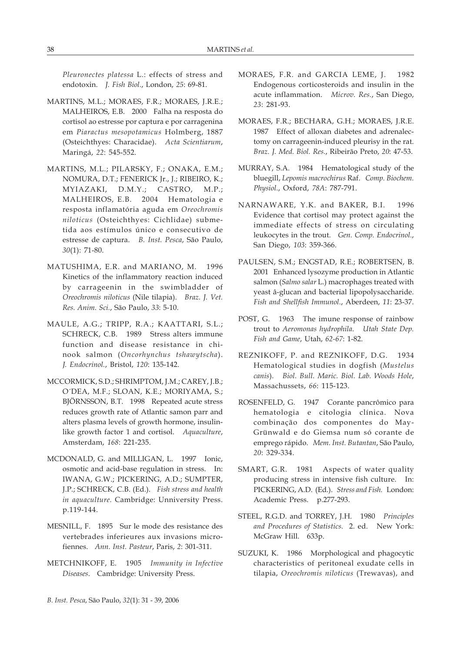*Pleuronectes platessa* L.: effects of stress and endotoxin. *J. Fish Biol.*, London, *25*: 69-81.

- MARTINS, M.L.; MORAES, F.R.; MORAES, J.R.E.; MALHEIROS, E.B. 2000 Falha na resposta do cortisol ao estresse por captura e por carragenina em *Piaractus mesopotamicus* Holmberg, 1887 (Osteichthyes: Characidae). *Acta Scientiarum*, Maringá, *22*: 545-552.
- MARTINS, M.L.; PILARSKY, F.; ONAKA, E.M.; NOMURA, D.T.; FENERICK Jr., J.; RIBEIRO, K.; MYIAZAKI, D.M.Y.; CASTRO, M.P.; MALHEIROS, E.B. 2004 Hematologia e resposta inflamatória aguda em *Oreochromis niloticus* (Osteichthyes: Cichlidae) submetida aos estímulos único e consecutivo de estresse de captura. *B. Inst. Pesca*, São Paulo, *30*(1): 71-80.
- MATUSHIMA, E.R. and MARIANO, M. 1996 Kinetics of the inflammatory reaction induced by carrageenin in the swimbladder of *Oreochromis niloticus* (Nile tilapia). *Braz. J. Vet. Res. Anim. Sci.*, São Paulo, *33*: 5-10.
- MAULE, A.G.; TRIPP, R.A.; KAATTARI, S.L.; SCHRECK, C.B. 1989 Stress alters immune function and disease resistance in chinook salmon (*Oncorhynchus tshawytscha*). *J. Endocrinol.*, Bristol, *120*: 135-142.
- MCCORMICK, S.D.; SHRIMPTOM, J.M.; CAREY, J.B.; O´DEA, M.F.; SLOAN, K.E.; MORIYAMA, S.; BJÖRNSSON, B.T. 1998 Repeated acute stress reduces growth rate of Atlantic samon parr and alters plasma levels of growth hormone, insulinlike growth factor 1 and cortisol. *Aquaculture*, Amsterdam, *168*: 221-235.
- MCDONALD, G. and MILLIGAN, L. 1997 Ionic, osmotic and acid-base regulation in stress. In: IWANA, G.W.; PICKERING, A.D.; SUMPTER, J.P.; SCHRECK, C.B. (Ed.). *Fish stress and health in aquaculture.* Cambridge: Unniversity Press. p.119-144.
- MESNILL, F. 1895 Sur le mode des resistance des vertebrades inferieures aux invasions microfiennes. *Ann. Inst. Pasteur*, Paris, *2*: 301-311.
- METCHNIKOFF, E. 1905 *Immunity in Infective Diseases*. Cambridge: University Press.
- MORAES, F.R. and GARCIA LEME, J. 1982 Endogenous corticosteroids and insulin in the acute inflammation. *Microv. Res.*, San Diego, *23*: 281-93.
- MORAES, F.R.; BECHARA, G.H.; MORAES, J.R.E. 1987 Effect of alloxan diabetes and adrenalectomy on carrageenin-induced pleurisy in the rat. *Braz. J. Med. Biol. Res.*, Ribeirão Preto, *20*: 47-53.
- MURRAY, S.A. 1984 Hematological study of the bluegill, *Lepomis macrochirus* Raf. *Comp. Biochem. Physiol.*, Oxford, *78A*: 787-791.
- NARNAWARE, Y.K. and BAKER, B.I. 1996 Evidence that cortisol may protect against the immediate effects of stress on circulating leukocytes in the trout. *Gen. Comp. Endocrinol.*, San Diego, *103*: 359-366.
- PAULSEN, S.M.; ENGSTAD, R.E.; ROBERTSEN, B. 2001 Enhanced lysozyme production in Atlantic salmon (*Salmo salar* L.) macrophages treated with yeast â-glucan and bacterial lipopolysaccharide. *Fish and Shellfish Immunol.*, Aberdeen, *11*: 23-37.
- POST, G. 1963 The imune response of rainbow trout to *Aeromonas hydrophila*. *Utah State Dep. Fish and Game*, Utah, *62-67*: 1-82.
- REZNIKOFF, P. and REZNIKOFF, D.G. 1934 Hematological studies in dogfish (*Mustelus canis*). *Biol. Bull. Maric. Biol. Lab. Woods Hole*, Massachussets, *66*: 115-123.
- ROSENFELD, G. 1947 Corante pancrômico para hematologia e citologia clínica. Nova combinação dos componentes do May-Grünwald e do Giemsa num só corante de emprego rápido. *Mem. Inst. Butantan*, São Paulo, *20*: 329-334.
- SMART, G.R. 1981 Aspects of water quality producing stress in intensive fish culture. In: PICKERING, A.D. (Ed.). *Stress and Fish.* London: Academic Press. p.277-293.
- STEEL, R.G.D. and TORREY, J.H. 1980 *Principles and Procedures of Statistics.* 2. ed. New York: McGraw Hill. 633p.
- SUZUKI, K. 1986 Morphological and phagocytic characteristics of peritoneal exudate cells in tilapia, *Oreochromis niloticus* (Trewavas), and